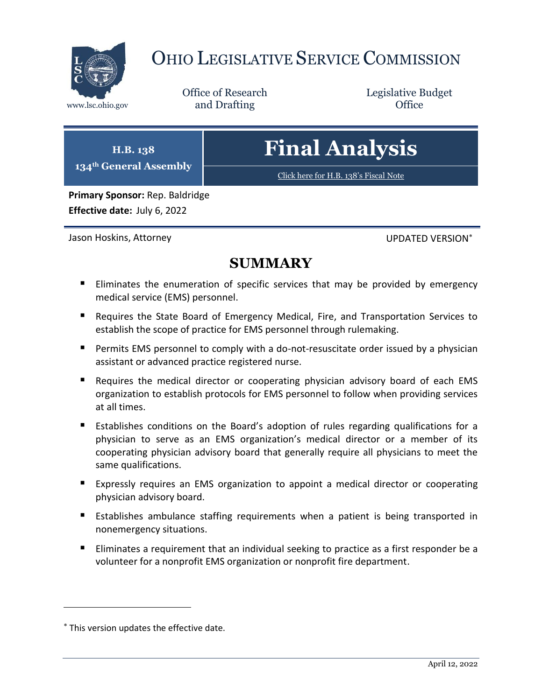

# OHIO LEGISLATIVE SERVICE COMMISSION

Office of Research www.lsc.ohio.gov **and Drafting Office** 

Legislative Budget

| <b>H.B. 138</b><br>134 <sup>th</sup> General Assembly | <b>Final Analysis</b>                 |
|-------------------------------------------------------|---------------------------------------|
|                                                       | Click here for H.B. 138's Fiscal Note |
| Primary Sponsor: Rep. Baldridge                       |                                       |

**Effective date:** July 6, 2022

Jason Hoskins, Attorney **UPDATED VERSION**<sup>\*</sup>

## **SUMMARY**

- Eliminates the enumeration of specific services that may be provided by emergency medical service (EMS) personnel.
- Requires the State Board of Emergency Medical, Fire, and Transportation Services to establish the scope of practice for EMS personnel through rulemaking.
- **Permits EMS personnel to comply with a do-not-resuscitate order issued by a physician** assistant or advanced practice registered nurse.
- Requires the medical director or cooperating physician advisory board of each EMS organization to establish protocols for EMS personnel to follow when providing services at all times.
- Establishes conditions on the Board's adoption of rules regarding qualifications for a physician to serve as an EMS organization's medical director or a member of its cooperating physician advisory board that generally require all physicians to meet the same qualifications.
- Expressly requires an EMS organization to appoint a medical director or cooperating physician advisory board.
- **Establishes ambulance staffing requirements when a patient is being transported in** nonemergency situations.
- **Eliminates a requirement that an individual seeking to practice as a first responder be a** volunteer for a nonprofit EMS organization or nonprofit fire department.

This version updates the effective date.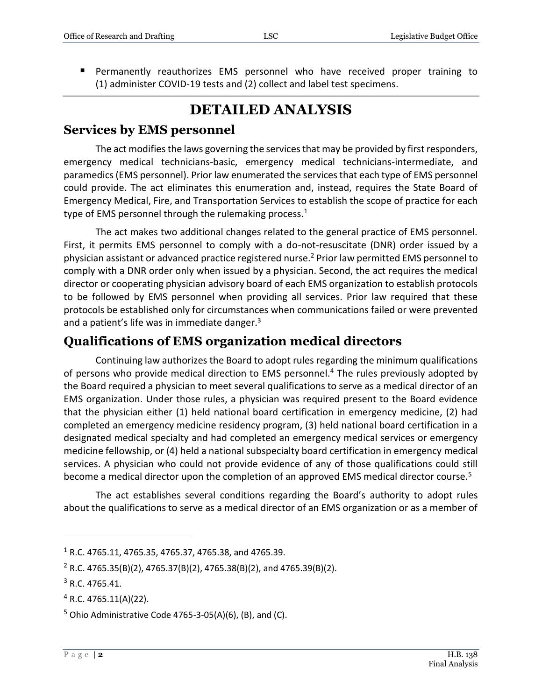Permanently reauthorizes EMS personnel who have received proper training to (1) administer COVID-19 tests and (2) collect and label test specimens.

## **DETAILED ANALYSIS**

#### **Services by EMS personnel**

The act modifies the laws governing the services that may be provided by first responders, emergency medical technicians-basic, emergency medical technicians-intermediate, and paramedics (EMS personnel). Prior law enumerated the services that each type of EMS personnel could provide. The act eliminates this enumeration and, instead, requires the State Board of Emergency Medical, Fire, and Transportation Services to establish the scope of practice for each type of EMS personnel through the rulemaking process. $1$ 

The act makes two additional changes related to the general practice of EMS personnel. First, it permits EMS personnel to comply with a do-not-resuscitate (DNR) order issued by a physician assistant or advanced practice registered nurse.<sup>2</sup> Prior law permitted EMS personnel to comply with a DNR order only when issued by a physician. Second, the act requires the medical director or cooperating physician advisory board of each EMS organization to establish protocols to be followed by EMS personnel when providing all services. Prior law required that these protocols be established only for circumstances when communications failed or were prevented and a patient's life was in immediate danger.<sup>3</sup>

#### **Qualifications of EMS organization medical directors**

Continuing law authorizes the Board to adopt rules regarding the minimum qualifications of persons who provide medical direction to EMS personnel.<sup>4</sup> The rules previously adopted by the Board required a physician to meet several qualifications to serve as a medical director of an EMS organization. Under those rules, a physician was required present to the Board evidence that the physician either (1) held national board certification in emergency medicine, (2) had completed an emergency medicine residency program, (3) held national board certification in a designated medical specialty and had completed an emergency medical services or emergency medicine fellowship, or (4) held a national subspecialty board certification in emergency medical services. A physician who could not provide evidence of any of those qualifications could still become a medical director upon the completion of an approved EMS medical director course.<sup>5</sup>

The act establishes several conditions regarding the Board's authority to adopt rules about the qualifications to serve as a medical director of an EMS organization or as a member of

 $1$  R.C. 4765.11, 4765.35, 4765.37, 4765.38, and 4765.39.

<sup>&</sup>lt;sup>2</sup> R.C. 4765.35(B)(2), 4765.37(B)(2), 4765.38(B)(2), and 4765.39(B)(2).

 $3$  R.C. 4765.41.

 $4$  R.C. 4765.11(A)(22).

 $5$  Ohio Administrative Code 4765-3-05(A)(6), (B), and (C).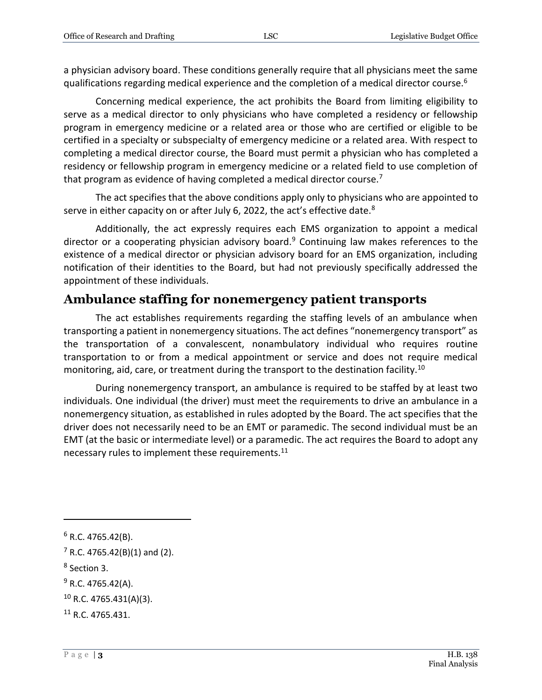a physician advisory board. These conditions generally require that all physicians meet the same qualifications regarding medical experience and the completion of a medical director course.<sup>6</sup>

Concerning medical experience, the act prohibits the Board from limiting eligibility to serve as a medical director to only physicians who have completed a residency or fellowship program in emergency medicine or a related area or those who are certified or eligible to be certified in a specialty or subspecialty of emergency medicine or a related area. With respect to completing a medical director course, the Board must permit a physician who has completed a residency or fellowship program in emergency medicine or a related field to use completion of that program as evidence of having completed a medical director course.<sup>7</sup>

The act specifies that the above conditions apply only to physicians who are appointed to serve in either capacity on or after July 6, 2022, the act's effective date.<sup>8</sup>

Additionally, the act expressly requires each EMS organization to appoint a medical director or a cooperating physician advisory board.<sup>9</sup> Continuing law makes references to the existence of a medical director or physician advisory board for an EMS organization, including notification of their identities to the Board, but had not previously specifically addressed the appointment of these individuals.

#### **Ambulance staffing for nonemergency patient transports**

The act establishes requirements regarding the staffing levels of an ambulance when transporting a patient in nonemergency situations. The act defines "nonemergency transport" as the transportation of a convalescent, nonambulatory individual who requires routine transportation to or from a medical appointment or service and does not require medical monitoring, aid, care, or treatment during the transport to the destination facility.<sup>10</sup>

During nonemergency transport, an ambulance is required to be staffed by at least two individuals. One individual (the driver) must meet the requirements to drive an ambulance in a nonemergency situation, as established in rules adopted by the Board. The act specifies that the driver does not necessarily need to be an EMT or paramedic. The second individual must be an EMT (at the basic or intermediate level) or a paramedic. The act requires the Board to adopt any necessary rules to implement these requirements.<sup>11</sup>

 $6$  R.C. 4765.42(B).

 $7$  R.C. 4765.42(B)(1) and (2).

<sup>8</sup> Section 3.

 $9$  R.C. 4765.42(A).

 $10$  R.C. 4765.431(A)(3).

<sup>11</sup> R.C. 4765.431.